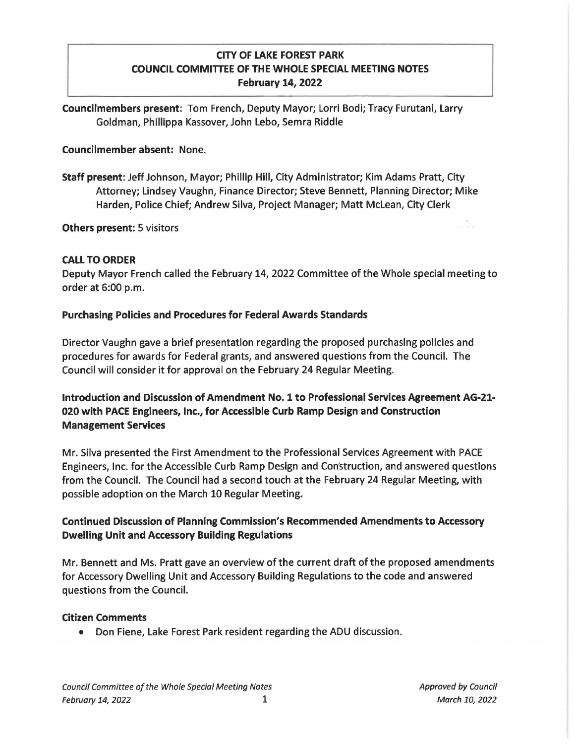# CITY OF LAKE FOREST PARK COUNCIL COMMITTEE OF THE WHOLE SPECIAL MEETING NOTES February 14, 2022

Councilmembers present: Tom French, Deputy Mayor; Lorri Bodi; Tracy Furutani, Larry Goldman, Phillippa Kassover, John Lebo, Semra Riddle

#### Councilmember absent: None.

Staff present: Jeff Johnson, Mayor; Phillip Hill, City Administrator; Kim Adams Pratt, City Attorney; Lindsey Vaughn, Finance Director; Steve Bennett, Planning Director; Mike Harden, Police Chief; Andrew Silva, Project Manager; Matt Mclean, City Clerk

Others present: 5 visitors

### CALL TO ORDER

Deputy Mayor French called the February 14, 2022 Committee of the Whole special meeting to order at 6:00 p.m.

#### Purchasing Policies and Procedures for Federal Awards Standards

Director Vaughn gave a brief presentation regarding the proposed purchasing policies and procedures for awards for Federal grants, and answered questions from the Council. The Council will consider it for approval on the February 24 Regular Meeting.

# Introduction and Discussion of Amendment No. 1 to Professional Services Agreement AG-21- 020 with PACE Engineers, Inc., for Accessible Curb Ramp Design and Construction Management Services

Mr. Silva presented the First Amendment to the Professional Services Agreement with PACE Engineers, Inc. for the Accessible Curb Ramp Design and Con'struction, and answered questions from the Council. The Council had a second touch at the February 24 Regular Meeting, with possible adoption on the March 10 Regular Meeting.

# Continued Discussion of Planning Commission's Recommended Amendments to Accessory Dwelling Unit and Accessory Building Regulations

Mr. Bennett and Ms. Pratt gave an overview of the current draft of the proposed amendments for Accessory Dwelling Unit and Accessory Building Regulations to the code and answered questions from the Council.

### Citizen Comments

• Don Fiene, Lake Forest Park resident regarding the ADU discussion.

Approved by Council March 10, 2022